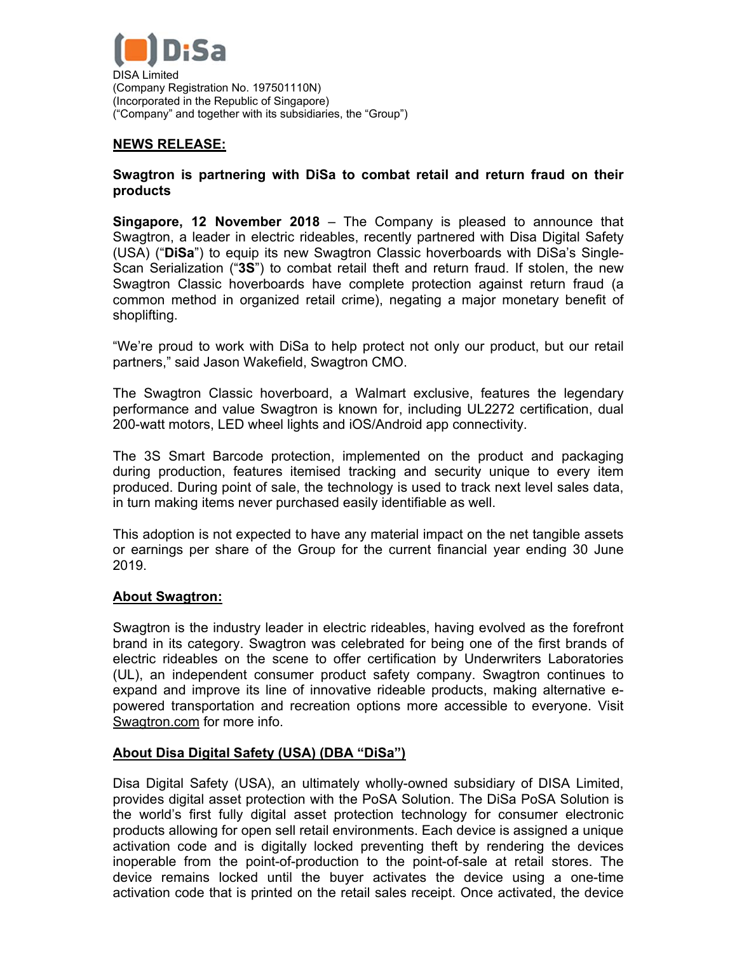

# **NEWS RELEASE:**

#### **Swagtron is partnering with DiSa to combat retail and return fraud on their products**

**Singapore, 12 November 2018** – The Company is pleased to announce that Swagtron, a leader in electric rideables, recently partnered with Disa Digital Safety (USA) ("**DiSa**") to equip its new Swagtron Classic hoverboards with DiSa's Single-Scan Serialization ("**3S**") to combat retail theft and return fraud. If stolen, the new Swagtron Classic hoverboards have complete protection against return fraud (a common method in organized retail crime), negating a major monetary benefit of shoplifting.

"We're proud to work with DiSa to help protect not only our product, but our retail partners," said Jason Wakefield, Swagtron CMO.

The Swagtron Classic hoverboard, a Walmart exclusive, features the legendary performance and value Swagtron is known for, including UL2272 certification, dual 200-watt motors, LED wheel lights and iOS/Android app connectivity.

The 3S Smart Barcode protection, implemented on the product and packaging during production, features itemised tracking and security unique to every item produced. During point of sale, the technology is used to track next level sales data, in turn making items never purchased easily identifiable as well.

This adoption is not expected to have any material impact on the net tangible assets or earnings per share of the Group for the current financial year ending 30 June 2019.

## **About Swagtron:**

Swagtron is the industry leader in electric rideables, having evolved as the forefront brand in its category. Swagtron was celebrated for being one of the first brands of electric rideables on the scene to offer certification by Underwriters Laboratories (UL), an independent consumer product safety company. Swagtron continues to expand and improve its line of innovative rideable products, making alternative epowered transportation and recreation options more accessible to everyone. Visit Swagtron.com for more info.

## **About Disa Digital Safety (USA) (DBA "DiSa")**

Disa Digital Safety (USA), an ultimately wholly-owned subsidiary of DISA Limited, provides digital asset protection with the PoSA Solution. The DiSa PoSA Solution is the world's first fully digital asset protection technology for consumer electronic products allowing for open sell retail environments. Each device is assigned a unique activation code and is digitally locked preventing theft by rendering the devices inoperable from the point-of-production to the point-of-sale at retail stores. The device remains locked until the buyer activates the device using a one-time activation code that is printed on the retail sales receipt. Once activated, the device